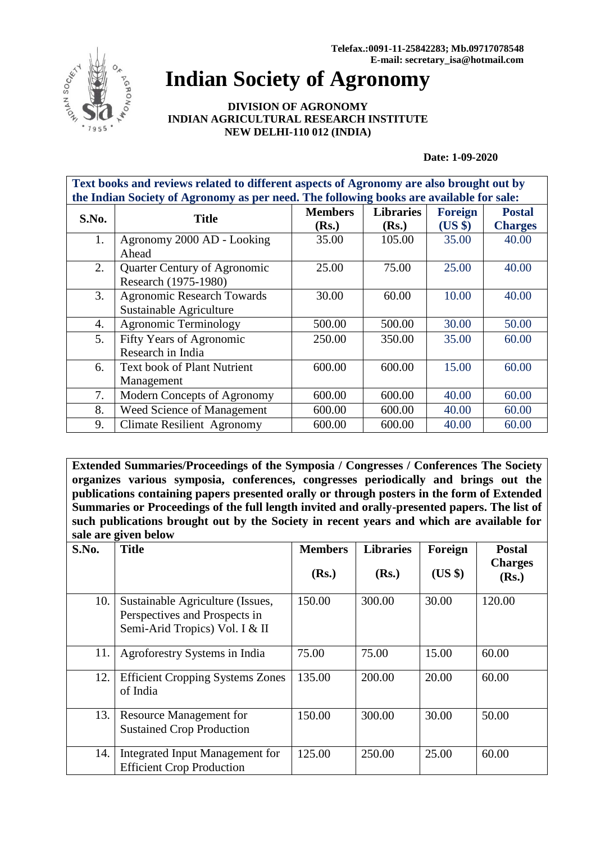

## **Indian Society of Agronomy**

**DIVISION OF AGRONOMY INDIAN AGRICULTURAL RESEARCH INSTITUTE NEW DELHI-110 012 (INDIA)**

**Date: 1-09-2020**

| Text books and reviews related to different aspects of Agronomy are also brought out by |                                    |                |                  |                |                |  |  |
|-----------------------------------------------------------------------------------------|------------------------------------|----------------|------------------|----------------|----------------|--|--|
| the Indian Society of Agronomy as per need. The following books are available for sale: |                                    |                |                  |                |                |  |  |
| S.No.                                                                                   | <b>Title</b>                       | <b>Members</b> | <b>Libraries</b> | <b>Foreign</b> | <b>Postal</b>  |  |  |
|                                                                                         |                                    | (Rs.)          | (Rs.)            | (US \$)        | <b>Charges</b> |  |  |
| 1.                                                                                      | Agronomy 2000 AD - Looking         | 35.00          | 105.00           | 35.00          | 40.00          |  |  |
|                                                                                         | Ahead                              |                |                  |                |                |  |  |
| 2.                                                                                      | Quarter Century of Agronomic       | 25.00          | 75.00            | 25.00          | 40.00          |  |  |
|                                                                                         | Research (1975-1980)               |                |                  |                |                |  |  |
| 3.                                                                                      | <b>Agronomic Research Towards</b>  | 30.00          | 60.00            | 10.00          | 40.00          |  |  |
|                                                                                         | Sustainable Agriculture            |                |                  |                |                |  |  |
| 4.                                                                                      | <b>Agronomic Terminology</b>       | 500.00         | 500.00           | 30.00          | 50.00          |  |  |
| 5.                                                                                      | Fifty Years of Agronomic           | 250.00         | 350.00           | 35.00          | 60.00          |  |  |
|                                                                                         | Research in India                  |                |                  |                |                |  |  |
| 6.                                                                                      | <b>Text book of Plant Nutrient</b> | 600.00         | 600.00           | 15.00          | 60.00          |  |  |
|                                                                                         | Management                         |                |                  |                |                |  |  |
| 7.                                                                                      | Modern Concepts of Agronomy        | 600.00         | 600.00           | 40.00          | 60.00          |  |  |
| 8.                                                                                      | Weed Science of Management         | 600.00         | 600.00           | 40.00          | 60.00          |  |  |
| 9.                                                                                      | <b>Climate Resilient Agronomy</b>  | 600.00         | 600.00           | 40.00          | 60.00          |  |  |

**Extended Summaries/Proceedings of the Symposia / Congresses / Conferences The Society organizes various symposia, conferences, congresses periodically and brings out the publications containing papers presented orally or through posters in the form of Extended Summaries or Proceedings of the full length invited and orally-presented papers. The list of such publications brought out by the Society in recent years and which are available for sale are given below**

| S.No. | 0<br><b>Title</b>                                                                                   | <b>Members</b><br>(Rs.) | <b>Libraries</b><br>(Rs.) | Foreign<br>(US \$) | <b>Postal</b><br><b>Charges</b><br>(Rs.) |
|-------|-----------------------------------------------------------------------------------------------------|-------------------------|---------------------------|--------------------|------------------------------------------|
| 10.   | Sustainable Agriculture (Issues,<br>Perspectives and Prospects in<br>Semi-Arid Tropics) Vol. I & II | 150.00                  | 300.00                    | 30.00              | 120.00                                   |
| 11.   | Agroforestry Systems in India                                                                       | 75.00                   | 75.00                     | 15.00              | 60.00                                    |
| 12.   | <b>Efficient Cropping Systems Zones</b><br>of India                                                 | 135.00                  | 200.00                    | 20.00              | 60.00                                    |
| 13.   | <b>Resource Management for</b><br><b>Sustained Crop Production</b>                                  | 150.00                  | 300.00                    | 30.00              | 50.00                                    |
| 14.   | Integrated Input Management for<br><b>Efficient Crop Production</b>                                 | 125.00                  | 250.00                    | 25.00              | 60.00                                    |